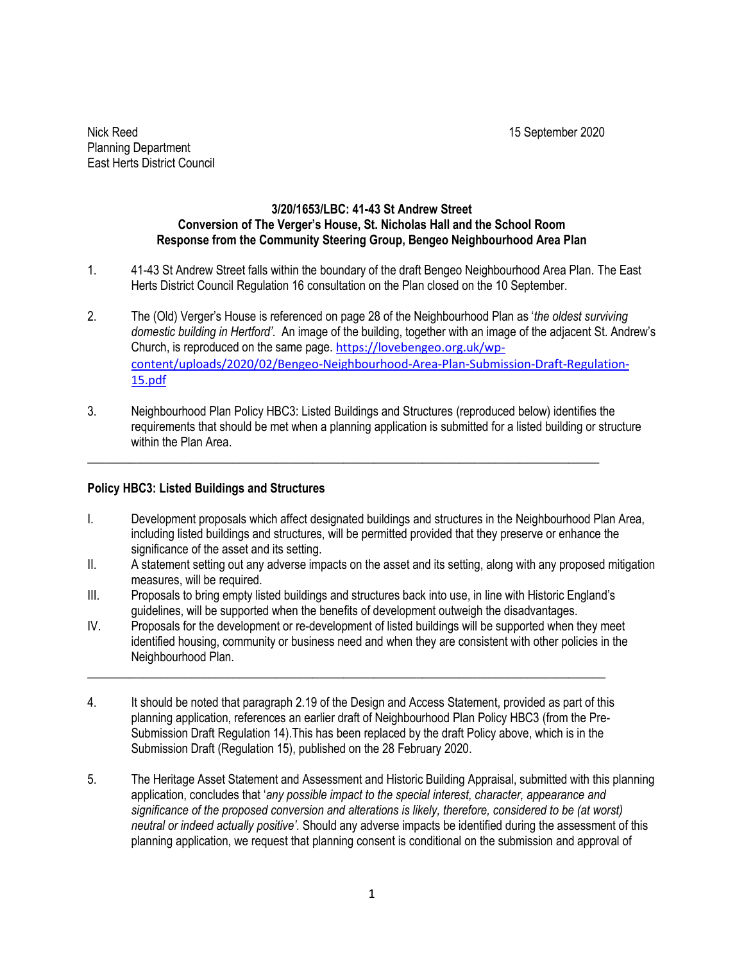Nick Reed 15 September 2020 Planning Department East Herts District Council

## **3/20/1653/LBC: 41-43 St Andrew Street Conversion of The Verger's House, St. Nicholas Hall and the School Room Response from the Community Steering Group, Bengeo Neighbourhood Area Plan**

- 1. 41-43 St Andrew Street falls within the boundary of the draft Bengeo Neighbourhood Area Plan. The East Herts District Council Regulation 16 consultation on the Plan closed on the 10 September.
- 2. The (Old) Verger's House is referenced on page 28 of the Neighbourhood Plan as '*the oldest surviving domestic building in Hertford'.* An image of the building, together with an image of the adjacent St. Andrew's Church, is reproduced on the same page. [https://lovebengeo.org.uk/wp](https://lovebengeo.org.uk/wp-content/uploads/2020/02/Bengeo-Neighbourhood-Area-Plan-Submission-Draft-Regulation-15.pdf)[content/uploads/2020/02/Bengeo-Neighbourhood-Area-Plan-Submission-Draft-Regulation-](https://lovebengeo.org.uk/wp-content/uploads/2020/02/Bengeo-Neighbourhood-Area-Plan-Submission-Draft-Regulation-15.pdf)[15.pdf](https://lovebengeo.org.uk/wp-content/uploads/2020/02/Bengeo-Neighbourhood-Area-Plan-Submission-Draft-Regulation-15.pdf)
- 3. Neighbourhood Plan Policy HBC3: Listed Buildings and Structures (reproduced below) identifies the requirements that should be met when a planning application is submitted for a listed building or structure within the Plan Area.

\_\_\_\_\_\_\_\_\_\_\_\_\_\_\_\_\_\_\_\_\_\_\_\_\_\_\_\_\_\_\_\_\_\_\_\_\_\_\_\_\_\_\_\_\_\_\_\_\_\_\_\_\_\_\_\_\_\_\_\_\_\_\_\_\_\_\_\_\_\_\_\_\_\_\_\_\_\_\_\_\_\_\_\_

## **Policy HBC3: Listed Buildings and Structures**

- I. Development proposals which affect designated buildings and structures in the Neighbourhood Plan Area, including listed buildings and structures, will be permitted provided that they preserve or enhance the significance of the asset and its setting.
- II. A statement setting out any adverse impacts on the asset and its setting, along with any proposed mitigation measures, will be required.
- III. Proposals to bring empty listed buildings and structures back into use, in line with Historic England's guidelines, will be supported when the benefits of development outweigh the disadvantages.
- IV. Proposals for the development or re-development of listed buildings will be supported when they meet identified housing, community or business need and when they are consistent with other policies in the Neighbourhood Plan.
- 4. It should be noted that paragraph 2.19 of the Design and Access Statement, provided as part of this planning application, references an earlier draft of Neighbourhood Plan Policy HBC3 (from the Pre-Submission Draft Regulation 14).This has been replaced by the draft Policy above, which is in the Submission Draft (Regulation 15), published on the 28 February 2020.

 $\_$  , and the set of the set of the set of the set of the set of the set of the set of the set of the set of the set of the set of the set of the set of the set of the set of the set of the set of the set of the set of th

5. The Heritage Asset Statement and Assessment and Historic Building Appraisal, submitted with this planning application, concludes that '*any possible impact to the special interest, character, appearance and significance of the proposed conversion and alterations is likely, therefore, considered to be (at worst) neutral or indeed actually positive'.* Should any adverse impacts be identified during the assessment of this planning application, we request that planning consent is conditional on the submission and approval of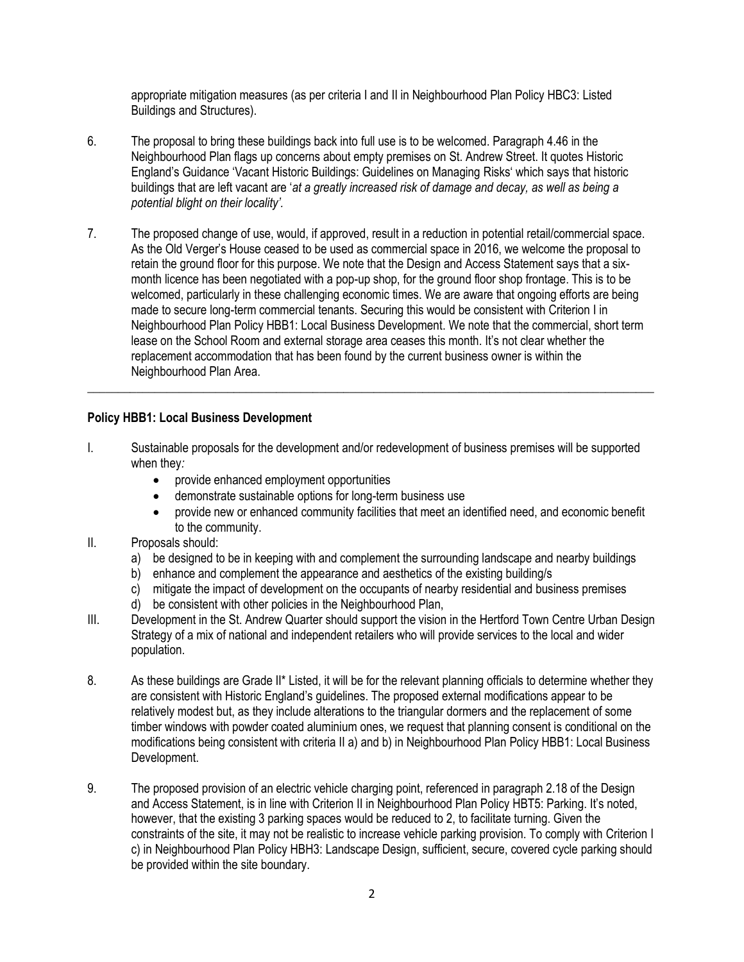appropriate mitigation measures (as per criteria I and II in Neighbourhood Plan Policy HBC3: Listed Buildings and Structures).

- 6. The proposal to bring these buildings back into full use is to be welcomed. Paragraph 4.46 in the Neighbourhood Plan flags up concerns about empty premises on St. Andrew Street. It quotes Historic England's Guidance 'Vacant Historic Buildings: Guidelines on Managing Risks' which says that historic buildings that are left vacant are '*at a greatly increased risk of damage and decay, as well as being a potential blight on their locality'.*
- 7. The proposed change of use, would, if approved, result in a reduction in potential retail/commercial space. As the Old Verger's House ceased to be used as commercial space in 2016, we welcome the proposal to retain the ground floor for this purpose. We note that the Design and Access Statement says that a sixmonth licence has been negotiated with a pop-up shop, for the ground floor shop frontage. This is to be welcomed, particularly in these challenging economic times. We are aware that ongoing efforts are being made to secure long-term commercial tenants. Securing this would be consistent with Criterion I in Neighbourhood Plan Policy HBB1: Local Business Development. We note that the commercial, short term lease on the School Room and external storage area ceases this month. It's not clear whether the replacement accommodation that has been found by the current business owner is within the Neighbourhood Plan Area.

## **Policy HBB1: Local Business Development**

I. Sustainable proposals for the development and/or redevelopment of business premises will be supported when they*:* 

 $\_$  ,  $\_$  ,  $\_$  ,  $\_$  ,  $\_$  ,  $\_$  ,  $\_$  ,  $\_$  ,  $\_$  ,  $\_$  ,  $\_$  ,  $\_$  ,  $\_$  ,  $\_$  ,  $\_$  ,  $\_$  ,  $\_$  ,  $\_$  ,  $\_$  ,  $\_$  ,  $\_$  ,  $\_$  ,  $\_$  ,  $\_$  ,  $\_$  ,  $\_$  ,  $\_$  ,  $\_$  ,  $\_$  ,  $\_$  ,  $\_$  ,  $\_$  ,  $\_$  ,  $\_$  ,  $\_$  ,  $\_$  ,  $\_$  ,

- provide enhanced employment opportunities
- demonstrate sustainable options for long-term business use
- provide new or enhanced community facilities that meet an identified need, and economic benefit to the community.
- II. Proposals should:
	- a) be designed to be in keeping with and complement the surrounding landscape and nearby buildings
	- b) enhance and complement the appearance and aesthetics of the existing building/s
	- c) mitigate the impact of development on the occupants of nearby residential and business premises
	- d) be consistent with other policies in the Neighbourhood Plan,
- III. Development in the St. Andrew Quarter should support the vision in the Hertford Town Centre Urban Design Strategy of a mix of national and independent retailers who will provide services to the local and wider population.
- 8. As these buildings are Grade II\* Listed, it will be for the relevant planning officials to determine whether they are consistent with Historic England's guidelines. The proposed external modifications appear to be relatively modest but, as they include alterations to the triangular dormers and the replacement of some timber windows with powder coated aluminium ones, we request that planning consent is conditional on the modifications being consistent with criteria II a) and b) in Neighbourhood Plan Policy HBB1: Local Business Development.
- 9. The proposed provision of an electric vehicle charging point, referenced in paragraph 2.18 of the Design and Access Statement, is in line with Criterion II in Neighbourhood Plan Policy HBT5: Parking. It's noted, however, that the existing 3 parking spaces would be reduced to 2, to facilitate turning. Given the constraints of the site, it may not be realistic to increase vehicle parking provision. To comply with Criterion I c) in Neighbourhood Plan Policy HBH3: Landscape Design, sufficient, secure, covered cycle parking should be provided within the site boundary.